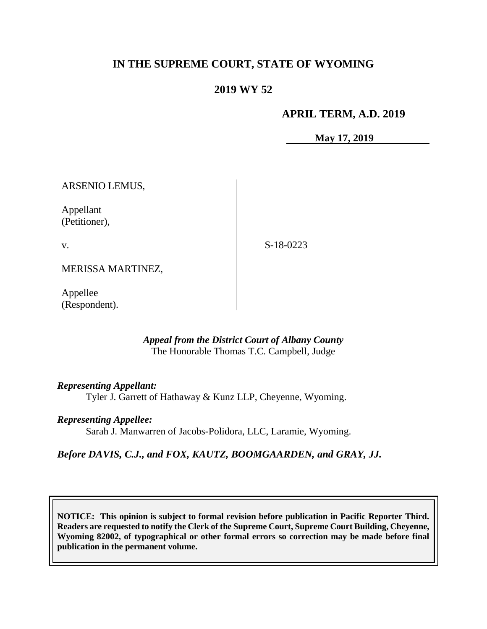## **IN THE SUPREME COURT, STATE OF WYOMING**

### **2019 WY 52**

#### **APRIL TERM, A.D. 2019**

**May 17, 2019**

ARSENIO LEMUS,

Appellant (Petitioner),

v.

S-18-0223

MERISSA MARTINEZ,

Appellee (Respondent).

> *Appeal from the District Court of Albany County* The Honorable Thomas T.C. Campbell, Judge

*Representing Appellant:*

Tyler J. Garrett of Hathaway & Kunz LLP, Cheyenne, Wyoming.

*Representing Appellee:*

Sarah J. Manwarren of Jacobs-Polidora, LLC, Laramie, Wyoming.

*Before DAVIS, C.J., and FOX, KAUTZ, BOOMGAARDEN, and GRAY, JJ.*

**NOTICE: This opinion is subject to formal revision before publication in Pacific Reporter Third. Readers are requested to notify the Clerk of the Supreme Court, Supreme Court Building, Cheyenne, Wyoming 82002, of typographical or other formal errors so correction may be made before final publication in the permanent volume.**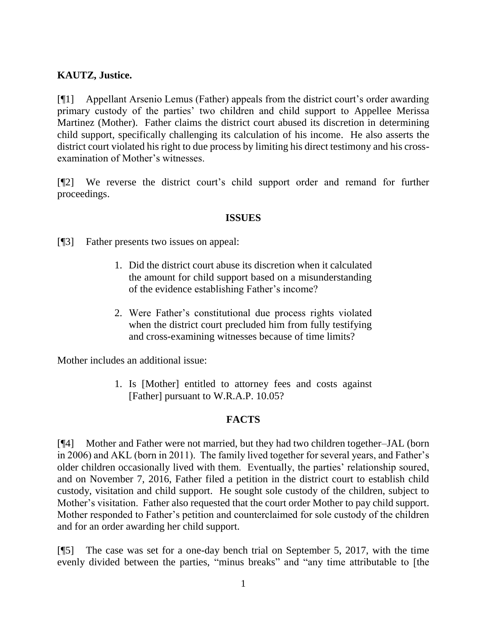## **KAUTZ, Justice.**

[¶1] Appellant Arsenio Lemus (Father) appeals from the district court's order awarding primary custody of the parties' two children and child support to Appellee Merissa Martinez (Mother). Father claims the district court abused its discretion in determining child support, specifically challenging its calculation of his income. He also asserts the district court violated his right to due process by limiting his direct testimony and his crossexamination of Mother's witnesses.

[¶2] We reverse the district court's child support order and remand for further proceedings.

#### **ISSUES**

[¶3] Father presents two issues on appeal:

- 1. Did the district court abuse its discretion when it calculated the amount for child support based on a misunderstanding of the evidence establishing Father's income?
- 2. Were Father's constitutional due process rights violated when the district court precluded him from fully testifying and cross-examining witnesses because of time limits?

Mother includes an additional issue:

1. Is [Mother] entitled to attorney fees and costs against [Father] pursuant to W.R.A.P. 10.05?

#### **FACTS**

[¶4] Mother and Father were not married, but they had two children together–JAL (born in 2006) and AKL (born in 2011). The family lived together for several years, and Father's older children occasionally lived with them. Eventually, the parties' relationship soured, and on November 7, 2016, Father filed a petition in the district court to establish child custody, visitation and child support. He sought sole custody of the children, subject to Mother's visitation. Father also requested that the court order Mother to pay child support. Mother responded to Father's petition and counterclaimed for sole custody of the children and for an order awarding her child support.

[¶5] The case was set for a one-day bench trial on September 5, 2017, with the time evenly divided between the parties, "minus breaks" and "any time attributable to [the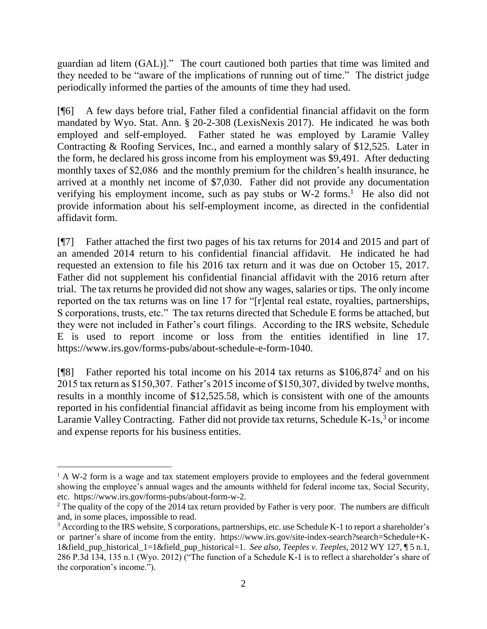guardian ad litem (GAL)]." The court cautioned both parties that time was limited and they needed to be "aware of the implications of running out of time." The district judge periodically informed the parties of the amounts of time they had used.

[¶6] A few days before trial, Father filed a confidential financial affidavit on the form mandated by Wyo. Stat. Ann. § 20-2-308 (LexisNexis 2017). He indicated he was both employed and self-employed. Father stated he was employed by Laramie Valley Contracting & Roofing Services, Inc., and earned a monthly salary of \$12,525. Later in the form, he declared his gross income from his employment was \$9,491. After deducting monthly taxes of \$2,086 and the monthly premium for the children's health insurance, he arrived at a monthly net income of \$7,030. Father did not provide any documentation verifying his employment income, such as pay stubs or  $W-2$  forms.<sup>1</sup> He also did not provide information about his self-employment income, as directed in the confidential affidavit form.

[¶7] Father attached the first two pages of his tax returns for 2014 and 2015 and part of an amended 2014 return to his confidential financial affidavit. He indicated he had requested an extension to file his 2016 tax return and it was due on October 15, 2017. Father did not supplement his confidential financial affidavit with the 2016 return after trial. The tax returns he provided did not show any wages, salaries or tips. The only income reported on the tax returns was on line 17 for "[r]ental real estate, royalties, partnerships, S corporations, trusts, etc." The tax returns directed that Schedule E forms be attached, but they were not included in Father's court filings. According to the IRS website, Schedule E is used to report income or loss from the entities identified in line 17. [https://www.irs.gov/forms-pubs/about-schedule-e-form-1040.](https://www.irs.gov/forms-pubs/about-schedule-e-form-1040)

[¶8] Father reported his total income on his 2014 tax returns as \$106,874<sup>2</sup> and on his 2015 tax return as \$150,307. Father's 2015 income of \$150,307, divided by twelve months, results in a monthly income of \$12,525.58, which is consistent with one of the amounts reported in his confidential financial affidavit as being income from his employment with Laramie Valley Contracting. Father did not provide tax returns, Schedule  $K-1s$ ,  $\delta$  or income and expense reports for his business entities.

 $\overline{a}$ 

 $1 A W-2$  form is a wage and tax statement employers provide to employees and the federal government showing the employee's annual wages and the amounts withheld for federal income tax, Social Security, etc. [https://www.irs.gov/forms-pubs/about-form-w-2.](https://www.irs.gov/forms-pubs/about-form-w-2)

<sup>&</sup>lt;sup>2</sup> The quality of the copy of the 2014 tax return provided by Father is very poor. The numbers are difficult and, in some places, impossible to read.

<sup>&</sup>lt;sup>3</sup> According to the IRS website, S corporations, partnerships, etc. use Schedule K-1 to report a shareholder's or partner's share of income from the entity. [https://www.irs.gov/site-index-search?search=Schedule+K-](https://www.irs.gov/site-index-search?search=Schedule+K-1&field_pup_historical_1=1&field_pup_historical=1)[1&field\\_pup\\_historical\\_1=1&field\\_pup\\_historical=1.](https://www.irs.gov/site-index-search?search=Schedule+K-1&field_pup_historical_1=1&field_pup_historical=1) *See also*, *Teeples v. Teeples,* 2012 WY 127, ¶ 5 n.1, 286 P.3d 134, 135 n.1 (Wyo. 2012) ("The function of a Schedule K-1 is to reflect a shareholder's share of the corporation's income.").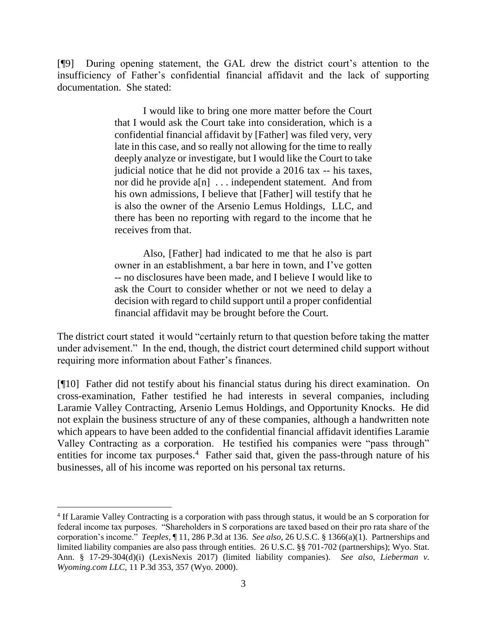[¶9] During opening statement, the GAL drew the district court's attention to the insufficiency of Father's confidential financial affidavit and the lack of supporting documentation. She stated:

> I would like to bring one more matter before the Court that I would ask the Court take into consideration, which is a confidential financial affidavit by [Father] was filed very, very late in this case, and so really not allowing for the time to really deeply analyze or investigate, but I would like the Court to take judicial notice that he did not provide a 2016 tax -- his taxes, nor did he provide a[n] . . . independent statement. And from his own admissions, I believe that [Father] will testify that he is also the owner of the Arsenio Lemus Holdings, LLC, and there has been no reporting with regard to the income that he receives from that.

> Also, [Father] had indicated to me that he also is part owner in an establishment, a bar here in town, and I've gotten -- no disclosures have been made, and I believe I would like to ask the Court to consider whether or not we need to delay a decision with regard to child support until a proper confidential financial affidavit may be brought before the Court.

The district court stated it would "certainly return to that question before taking the matter under advisement." In the end, though, the district court determined child support without requiring more information about Father's finances.

[¶10] Father did not testify about his financial status during his direct examination. On cross-examination, Father testified he had interests in several companies, including Laramie Valley Contracting, Arsenio Lemus Holdings, and Opportunity Knocks. He did not explain the business structure of any of these companies, although a handwritten note which appears to have been added to the confidential financial affidavit identifies Laramie Valley Contracting as a corporation. He testified his companies were "pass through" entities for income tax purposes.<sup>4</sup> Father said that, given the pass-through nature of his businesses, all of his income was reported on his personal tax returns.

 $\overline{a}$ 

<sup>&</sup>lt;sup>4</sup> If Laramie Valley Contracting is a corporation with pass through status, it would be an S corporation for federal income tax purposes. "Shareholders in S corporations are taxed based on their pro rata share of the corporation's income." *Teeples,* ¶ 11, 286 P.3d at 136. *See also*, 26 U.S.C. § 1366(a)(1). Partnerships and limited liability companies are also pass through entities. 26 U.S.C. §§ 701-702 (partnerships); Wyo. Stat. Ann. § 17-29-304(d)(i) (LexisNexis 2017) (limited liability companies). *See also*, *Lieberman v. Wyoming.com LLC,* 11 P.3d 353, 357 (Wyo. 2000).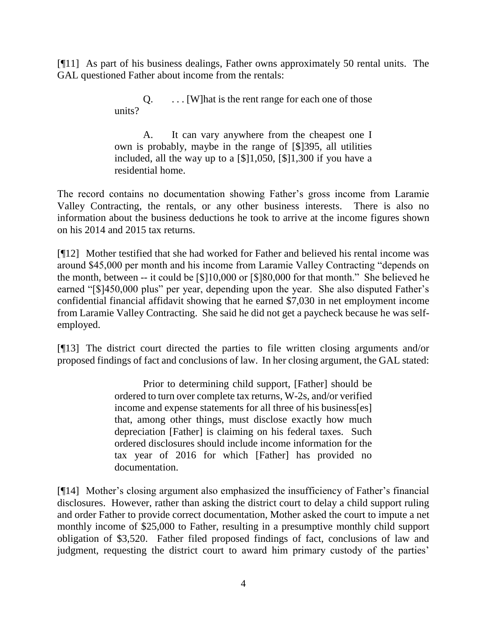[¶11] As part of his business dealings, Father owns approximately 50 rental units. The GAL questioned Father about income from the rentals:

> $Q.$  ... [W] hat is the rent range for each one of those units?

A. It can vary anywhere from the cheapest one I own is probably, maybe in the range of [\$]395, all utilities included, all the way up to a [\$]1,050, [\$]1,300 if you have a residential home.

The record contains no documentation showing Father's gross income from Laramie Valley Contracting, the rentals, or any other business interests. There is also no information about the business deductions he took to arrive at the income figures shown on his 2014 and 2015 tax returns.

[¶12] Mother testified that she had worked for Father and believed his rental income was around \$45,000 per month and his income from Laramie Valley Contracting "depends on the month, between -- it could be [\$]10,000 or [\$]80,000 for that month." She believed he earned "[\$]450,000 plus" per year, depending upon the year. She also disputed Father's confidential financial affidavit showing that he earned \$7,030 in net employment income from Laramie Valley Contracting. She said he did not get a paycheck because he was selfemployed.

[¶13] The district court directed the parties to file written closing arguments and/or proposed findings of fact and conclusions of law. In her closing argument, the GAL stated:

> Prior to determining child support, [Father] should be ordered to turn over complete tax returns, W-2s, and/or verified income and expense statements for all three of his business[es] that, among other things, must disclose exactly how much depreciation [Father] is claiming on his federal taxes. Such ordered disclosures should include income information for the tax year of 2016 for which [Father] has provided no documentation.

[¶14] Mother's closing argument also emphasized the insufficiency of Father's financial disclosures. However, rather than asking the district court to delay a child support ruling and order Father to provide correct documentation, Mother asked the court to impute a net monthly income of \$25,000 to Father, resulting in a presumptive monthly child support obligation of \$3,520. Father filed proposed findings of fact, conclusions of law and judgment, requesting the district court to award him primary custody of the parties'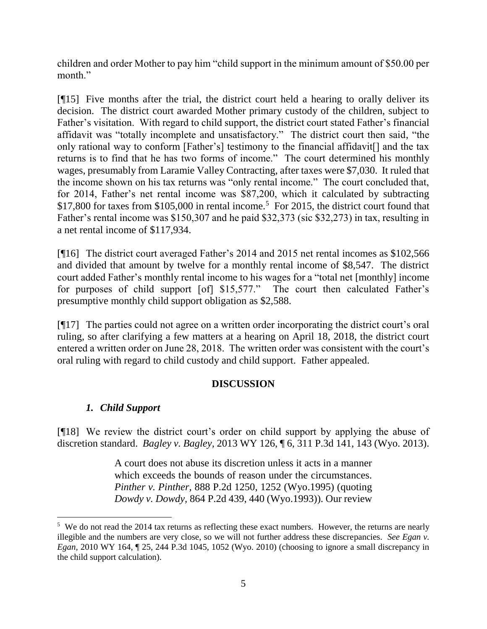children and order Mother to pay him "child support in the minimum amount of \$50.00 per month."

[¶15] Five months after the trial, the district court held a hearing to orally deliver its decision. The district court awarded Mother primary custody of the children, subject to Father's visitation. With regard to child support, the district court stated Father's financial affidavit was "totally incomplete and unsatisfactory." The district court then said, "the only rational way to conform [Father's] testimony to the financial affidavit[] and the tax returns is to find that he has two forms of income." The court determined his monthly wages, presumably from Laramie Valley Contracting, after taxes were \$7,030. It ruled that the income shown on his tax returns was "only rental income." The court concluded that, for 2014, Father's net rental income was \$87,200, which it calculated by subtracting  $$17,800$  for taxes from  $$105,000$  in rental income.<sup>5</sup> For 2015, the district court found that Father's rental income was \$150,307 and he paid \$32,373 (sic \$32,273) in tax, resulting in a net rental income of \$117,934.

[¶16] The district court averaged Father's 2014 and 2015 net rental incomes as \$102,566 and divided that amount by twelve for a monthly rental income of \$8,547. The district court added Father's monthly rental income to his wages for a "total net [monthly] income for purposes of child support [of] \$15,577." The court then calculated Father's presumptive monthly child support obligation as \$2,588.

[¶17] The parties could not agree on a written order incorporating the district court's oral ruling, so after clarifying a few matters at a hearing on April 18, 2018, the district court entered a written order on June 28, 2018. The written order was consistent with the court's oral ruling with regard to child custody and child support. Father appealed.

# **DISCUSSION**

# *1. Child Support*

[¶18] We review the district court's order on child support by applying the abuse of discretion standard. *Bagley v. Bagley,* 2013 WY 126, ¶ 6, 311 P.3d 141, 143 (Wyo. 2013).

> A court does not abuse its discretion unless it acts in a manner which exceeds the bounds of reason under the circumstances. *Pinther v. Pinther,* [888 P.2d 1250, 1252 \(Wyo.1995\)](http://www.westlaw.com/Link/Document/FullText?findType=Y&serNum=1995028925&pubNum=661&originatingDoc=Ibb38f6dd9b4811e3a659df62eba144e8&refType=RP&fi=co_pp_sp_661_1252&originationContext=document&vr=3.0&rs=cblt1.0&transitionType=DocumentItem&contextData=(sc.Search)#co_pp_sp_661_1252) (quoting *Dowdy v. Dowdy,* [864 P.2d 439, 440 \(Wyo.1993\)\)](http://www.westlaw.com/Link/Document/FullText?findType=Y&serNum=1993210273&pubNum=661&originatingDoc=Ibb38f6dd9b4811e3a659df62eba144e8&refType=RP&fi=co_pp_sp_661_440&originationContext=document&vr=3.0&rs=cblt1.0&transitionType=DocumentItem&contextData=(sc.Search)#co_pp_sp_661_440). Our review

 $5$  We do not read the 2014 tax returns as reflecting these exact numbers. However, the returns are nearly illegible and the numbers are very close, so we will not further address these discrepancies. *See Egan v. Egan,* 2010 WY 164, ¶ 25, 244 P.3d 1045, 1052 (Wyo. 2010) (choosing to ignore a small discrepancy in the child support calculation).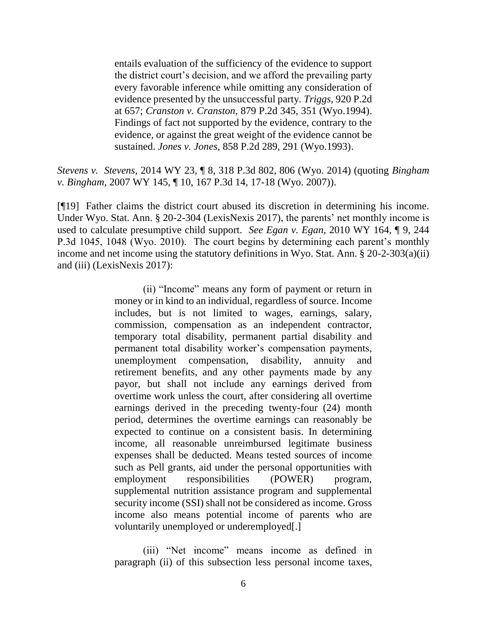entails evaluation of the sufficiency of the evidence to support the district court's decision, and we afford the prevailing party every favorable inference while omitting any consideration of evidence presented by the unsuccessful party. *Triggs,* [920 P.2d](http://www.westlaw.com/Link/Document/FullText?findType=Y&serNum=1996145487&pubNum=661&originatingDoc=Ibb38f6dd9b4811e3a659df62eba144e8&refType=RP&fi=co_pp_sp_661_657&originationContext=document&vr=3.0&rs=cblt1.0&transitionType=DocumentItem&contextData=(sc.Search)#co_pp_sp_661_657)  [at 657;](http://www.westlaw.com/Link/Document/FullText?findType=Y&serNum=1996145487&pubNum=661&originatingDoc=Ibb38f6dd9b4811e3a659df62eba144e8&refType=RP&fi=co_pp_sp_661_657&originationContext=document&vr=3.0&rs=cblt1.0&transitionType=DocumentItem&contextData=(sc.Search)#co_pp_sp_661_657) *Cranston v. Cranston,* [879 P.2d 345, 351 \(Wyo.1994\).](http://www.westlaw.com/Link/Document/FullText?findType=Y&serNum=1994171490&pubNum=661&originatingDoc=Ibb38f6dd9b4811e3a659df62eba144e8&refType=RP&fi=co_pp_sp_661_351&originationContext=document&vr=3.0&rs=cblt1.0&transitionType=DocumentItem&contextData=(sc.Search)#co_pp_sp_661_351) Findings of fact not supported by the evidence, contrary to the evidence, or against the great weight of the evidence cannot be sustained. *Jones v. Jones,* [858 P.2d 289, 291 \(Wyo.1993\).](http://www.westlaw.com/Link/Document/FullText?findType=Y&serNum=1993157101&pubNum=661&originatingDoc=Ibb38f6dd9b4811e3a659df62eba144e8&refType=RP&fi=co_pp_sp_661_291&originationContext=document&vr=3.0&rs=cblt1.0&transitionType=DocumentItem&contextData=(sc.Search)#co_pp_sp_661_291)

*Stevens v. Stevens,* 2014 WY 23, ¶ 8, 318 P.3d 802, 806 (Wyo. 2014) (quoting *[Bingham](http://www.westlaw.com/Link/Document/FullText?findType=Y&serNum=2013188468&pubNum=4645&originatingDoc=Ibb38f6dd9b4811e3a659df62eba144e8&refType=RP&fi=co_pp_sp_4645_17&originationContext=document&vr=3.0&rs=cblt1.0&transitionType=DocumentItem&contextData=(sc.Search)#co_pp_sp_4645_17)  v. Bingham,* [2007 WY 145, ¶ 10, 167 P.3d 14, 17-18 \(Wyo. 2007\)\)](http://www.westlaw.com/Link/Document/FullText?findType=Y&serNum=2013188468&pubNum=4645&originatingDoc=Ibb38f6dd9b4811e3a659df62eba144e8&refType=RP&fi=co_pp_sp_4645_17&originationContext=document&vr=3.0&rs=cblt1.0&transitionType=DocumentItem&contextData=(sc.Search)#co_pp_sp_4645_17).

[¶19] Father claims the district court abused its discretion in determining his income. Under Wyo. Stat. Ann. § 20-2-304 (LexisNexis 2017), the parents' net monthly income is used to calculate presumptive child support. *See Egan v. Egan,* 2010 WY 164, ¶ 9, 244 P.3d 1045, 1048 (Wyo. 2010). The court begins by determining each parent's monthly income and net income using the statutory definitions in Wyo. Stat. Ann. § 20-2-303(a)(ii) and (iii) (LexisNexis 2017):

> (ii) "Income" means any form of payment or return in money or in kind to an individual, regardless of source. Income includes, but is not limited to wages, earnings, salary, commission, compensation as an independent contractor, temporary total disability, permanent partial disability and permanent total disability worker's compensation payments, unemployment compensation, disability, annuity and retirement benefits, and any other payments made by any payor, but shall not include any earnings derived from overtime work unless the court, after considering all overtime earnings derived in the preceding twenty-four (24) month period, determines the overtime earnings can reasonably be expected to continue on a consistent basis. In determining income, all reasonable unreimbursed legitimate business expenses shall be deducted. Means tested sources of income such as Pell grants, aid under the personal opportunities with employment responsibilities (POWER) program, supplemental nutrition assistance program and supplemental security income (SSI) shall not be considered as income. Gross income also means potential income of parents who are voluntarily unemployed or underemployed[.]

> (iii) "Net income" means income as defined in paragraph (ii) of this subsection less personal income taxes,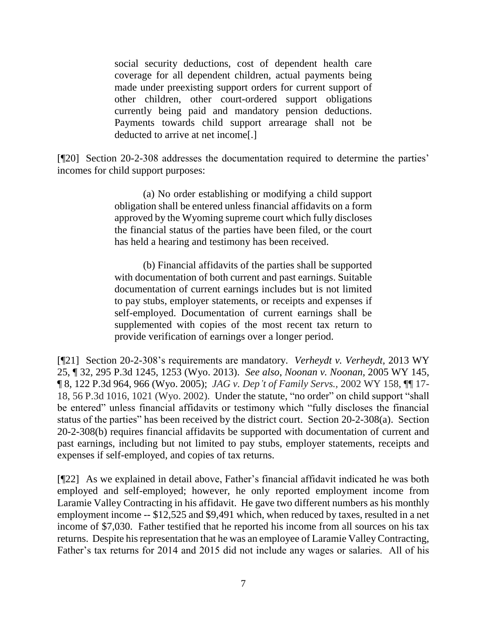social security deductions, cost of dependent health care coverage for all dependent children, actual payments being made under preexisting support orders for current support of other children, other court-ordered support obligations currently being paid and mandatory pension deductions. Payments towards child support arrearage shall not be deducted to arrive at net income[.]

[¶20] Section 20-2-308 addresses the documentation required to determine the parties' incomes for child support purposes:

> (a) No order establishing or modifying a child support obligation shall be entered unless financial affidavits on a form approved by the Wyoming supreme court which fully discloses the financial status of the parties have been filed, or the court has held a hearing and testimony has been received.

> (b) Financial affidavits of the parties shall be supported with documentation of both current and past earnings. Suitable documentation of current earnings includes but is not limited to pay stubs, employer statements, or receipts and expenses if self-employed. Documentation of current earnings shall be supplemented with copies of the most recent tax return to provide verification of earnings over a longer period.

[¶21] Section 20-2-308's requirements are mandatory. *Verheydt v. Verheydt,* 2013 WY 25, ¶ 32, 295 P.3d 1245, 1253 (Wyo. 2013). *See also*, *Noonan v. Noonan,* 2005 WY 145, ¶ 8, 122 P.3d 964, 966 (Wyo. 2005); *JAG v. Dep't of Family Servs.,* 2002 WY 158, ¶¶ 17- 18, 56 P.3d 1016, 1021 (Wyo. 2002). Under the statute, "no order" on child support "shall be entered" unless financial affidavits or testimony which "fully discloses the financial status of the parties" has been received by the district court. Section 20-2-308(a). Section 20-2-308(b) requires financial affidavits be supported with documentation of current and past earnings, including but not limited to pay stubs, employer statements, receipts and expenses if self-employed, and copies of tax returns.

[¶22] As we explained in detail above, Father's financial affidavit indicated he was both employed and self-employed; however, he only reported employment income from Laramie Valley Contracting in his affidavit. He gave two different numbers as his monthly employment income -- \$12,525 and \$9,491 which, when reduced by taxes, resulted in a net income of \$7,030. Father testified that he reported his income from all sources on his tax returns. Despite his representation that he was an employee of Laramie Valley Contracting, Father's tax returns for 2014 and 2015 did not include any wages or salaries. All of his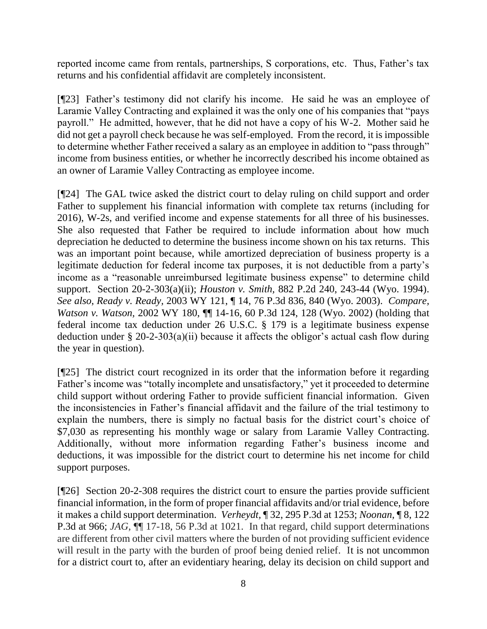reported income came from rentals, partnerships, S corporations, etc. Thus, Father's tax returns and his confidential affidavit are completely inconsistent.

[¶23] Father's testimony did not clarify his income. He said he was an employee of Laramie Valley Contracting and explained it was the only one of his companies that "pays payroll." He admitted, however, that he did not have a copy of his W-2. Mother said he did not get a payroll check because he was self-employed. From the record, it is impossible to determine whether Father received a salary as an employee in addition to "pass through" income from business entities, or whether he incorrectly described his income obtained as an owner of Laramie Valley Contracting as employee income.

[¶24] The GAL twice asked the district court to delay ruling on child support and order Father to supplement his financial information with complete tax returns (including for 2016), W-2s, and verified income and expense statements for all three of his businesses. She also requested that Father be required to include information about how much depreciation he deducted to determine the business income shown on his tax returns. This was an important point because, while amortized depreciation of business property is a legitimate deduction for federal income tax purposes, it is not deductible from a party's income as a "reasonable unreimbursed legitimate business expense" to determine child support. Section 20-2-303(a)(ii); *Houston v. Smith,* 882 P.2d 240, 243-44 (Wyo. 1994). *See also*, *Ready v. Ready,* 2003 WY 121, ¶ 14, 76 P.3d 836, 840 (Wyo. 2003). *Compare, Watson v. Watson,* 2002 WY 180, ¶¶ 14-16, 60 P.3d 124, 128 (Wyo. 2002) (holding that federal income tax deduction under 26 U.S.C. § 179 is a legitimate business expense deduction under § 20-2-303(a)(ii) because it affects the obligor's actual cash flow during the year in question).

[¶25] The district court recognized in its order that the information before it regarding Father's income was "totally incomplete and unsatisfactory," yet it proceeded to determine child support without ordering Father to provide sufficient financial information. Given the inconsistencies in Father's financial affidavit and the failure of the trial testimony to explain the numbers, there is simply no factual basis for the district court's choice of \$7,030 as representing his monthly wage or salary from Laramie Valley Contracting. Additionally, without more information regarding Father's business income and deductions, it was impossible for the district court to determine his net income for child support purposes.

[¶26] Section 20-2-308 requires the district court to ensure the parties provide sufficient financial information, in the form of proper financial affidavits and/or trial evidence, before it makes a child support determination. *Verheydt,* ¶ 32, 295 P.3d at 1253; *Noonan,* ¶ 8, 122 P.3d at 966; *JAG,* ¶¶ 17-18, 56 P.3d at 1021. In that regard, child support determinations are different from other civil matters where the burden of not providing sufficient evidence will result in the party with the burden of proof being denied relief. It is not uncommon for a district court to, after an evidentiary hearing, delay its decision on child support and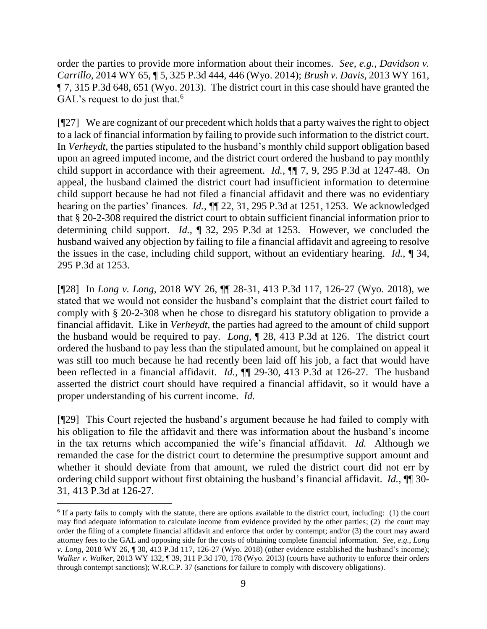order the parties to provide more information about their incomes. *See, e.g.*, *Davidson v. Carrillo,* 2014 WY 65, ¶ 5, 325 P.3d 444, 446 (Wyo. 2014); *Brush v. Davis,* 2013 WY 161, ¶ 7, 315 P.3d 648, 651 (Wyo. 2013). The district court in this case should have granted the GAL's request to do just that.<sup>6</sup>

[¶27] We are cognizant of our precedent which holds that a party waives the right to object to a lack of financial information by failing to provide such information to the district court. In *Verheydt,* the parties stipulated to the husband's monthly child support obligation based upon an agreed imputed income, and the district court ordered the husband to pay monthly child support in accordance with their agreement. *Id.,* ¶¶ 7, 9, 295 P.3d at 1247-48. On appeal, the husband claimed the district court had insufficient information to determine child support because he had not filed a financial affidavit and there was no evidentiary hearing on the parties' finances. *Id., ¶*¶ 22, 31, 295 P.3d at 1251, 1253. We acknowledged that § 20-2-308 required the district court to obtain sufficient financial information prior to determining child support. *Id.,* ¶ 32, 295 P.3d at 1253. However, we concluded the husband waived any objection by failing to file a financial affidavit and agreeing to resolve the issues in the case, including child support, without an evidentiary hearing. *Id.,* ¶ 34, 295 P.3d at 1253.

[¶28] In *Long v. Long,* 2018 WY 26, ¶¶ 28-31, 413 P.3d 117, 126-27 (Wyo. 2018), we stated that we would not consider the husband's complaint that the district court failed to comply with § 20-2-308 when he chose to disregard his statutory obligation to provide a financial affidavit. Like in *Verheydt,* the parties had agreed to the amount of child support the husband would be required to pay. *Long,* ¶ 28, 413 P.3d at 126. The district court ordered the husband to pay less than the stipulated amount, but he complained on appeal it was still too much because he had recently been laid off his job, a fact that would have been reflected in a financial affidavit. *Id.,* ¶¶ 29-30, 413 P.3d at 126-27. The husband asserted the district court should have required a financial affidavit, so it would have a proper understanding of his current income. *Id.* 

[¶29] This Court rejected the husband's argument because he had failed to comply with his obligation to file the affidavit and there was information about the husband's income in the tax returns which accompanied the wife's financial affidavit. *Id.* Although we remanded the case for the district court to determine the presumptive support amount and whether it should deviate from that amount, we ruled the district court did not err by ordering child support without first obtaining the husband's financial affidavit. *Id.,* ¶¶ 30- 31, 413 P.3d at 126-27.

<sup>&</sup>lt;sup>6</sup> If a party fails to comply with the statute, there are options available to the district court, including: (1) the court may find adequate information to calculate income from evidence provided by the other parties; (2) the court may order the filing of a complete financial affidavit and enforce that order by contempt; and/or (3) the court may award attorney fees to the GAL and opposing side for the costs of obtaining complete financial information. *See, e.g.*, *Long v. Long,* 2018 WY 26, ¶ 30, 413 P.3d 117, 126-27 (Wyo. 2018) (other evidence established the husband's income); *Walker v. Walker,* 2013 WY 132, ¶ 39, 311 P.3d 170, 178 (Wyo. 2013) (courts have authority to enforce their orders through contempt sanctions); W.R.C.P. 37 (sanctions for failure to comply with discovery obligations).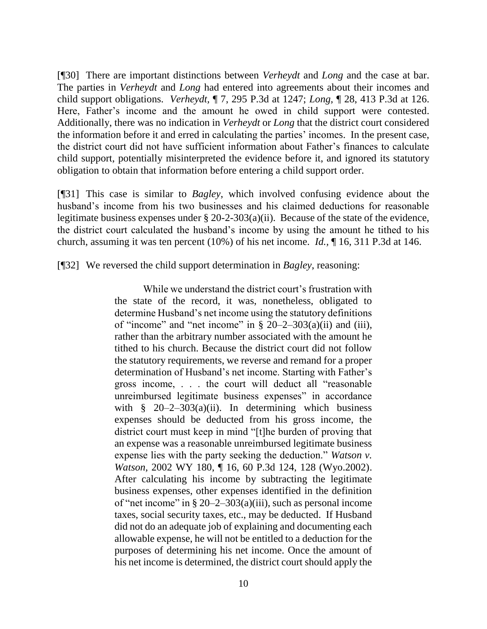[¶30] There are important distinctions between *Verheydt* and *Long* and the case at bar. The parties in *Verheydt* and *Long* had entered into agreements about their incomes and child support obligations. *Verheydt,* ¶ 7, 295 P.3d at 1247; *Long,* ¶ 28, 413 P.3d at 126. Here, Father's income and the amount he owed in child support were contested. Additionally, there was no indication in *Verheydt* or *Long* that the district court considered the information before it and erred in calculating the parties' incomes. In the present case, the district court did not have sufficient information about Father's finances to calculate child support, potentially misinterpreted the evidence before it, and ignored its statutory obligation to obtain that information before entering a child support order.

[¶31] This case is similar to *Bagley*, which involved confusing evidence about the husband's income from his two businesses and his claimed deductions for reasonable legitimate business expenses under § 20-2-303(a)(ii). Because of the state of the evidence, the district court calculated the husband's income by using the amount he tithed to his church, assuming it was ten percent (10%) of his net income. *Id.,* ¶ 16, 311 P.3d at 146.

[¶32] We reversed the child support determination in *Bagley*, reasoning:

While we understand the district court's frustration with the state of the record, it was, nonetheless, obligated to determine Husband's net income using the statutory definitions of "income" and "net income" in  $\S 20-2-303(a)(ii)$  and (iii), rather than the arbitrary number associated with the amount he tithed to his church. Because the district court did not follow the statutory requirements, we reverse and remand for a proper determination of Husband's net income. Starting with Father's gross income, . . . the court will deduct all "reasonable unreimbursed legitimate business expenses" in accordance with  $\frac{1}{2}$  20–2–303(a)(ii). In determining which business expenses should be deducted from his gross income, the district court must keep in mind "[t]he burden of proving that an expense was a reasonable unreimbursed legitimate business expense lies with the party seeking the deduction." *[Watson v.](http://www.westlaw.com/Link/Document/FullText?findType=Y&serNum=2002780623&pubNum=0004645&originatingDoc=I9cbc144e347011e38912df21cb42a557&refType=RP&fi=co_pp_sp_4645_128&originationContext=document&vr=3.0&rs=cblt1.0&transitionType=DocumentItem&contextData=(sc.Search)#co_pp_sp_4645_128)  Watson,* [2002 WY 180, ¶ 16, 60 P.3d 124, 128 \(Wyo.2002\).](http://www.westlaw.com/Link/Document/FullText?findType=Y&serNum=2002780623&pubNum=0004645&originatingDoc=I9cbc144e347011e38912df21cb42a557&refType=RP&fi=co_pp_sp_4645_128&originationContext=document&vr=3.0&rs=cblt1.0&transitionType=DocumentItem&contextData=(sc.Search)#co_pp_sp_4645_128) After calculating his income by subtracting the legitimate business expenses, other expenses identified in the definition of "net income" in [§ 20–2–303\(a\)\(iii\),](http://www.westlaw.com/Link/Document/FullText?findType=L&pubNum=1000377&cite=WYSTS20-2-303&originatingDoc=I9cbc144e347011e38912df21cb42a557&refType=SP&originationContext=document&vr=3.0&rs=cblt1.0&transitionType=DocumentItem&contextData=(sc.Search)#co_pp_fb94000015582) such as personal income taxes, social security taxes, etc., may be deducted. If Husband did not do an adequate job of explaining and documenting each allowable expense, he will not be entitled to a deduction for the purposes of determining his net income. Once the amount of his net income is determined, the district court should apply the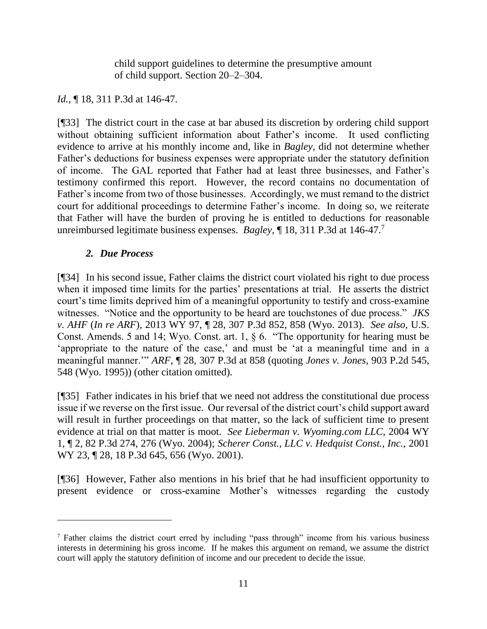child support guidelines to determine the presumptive amount of child support. [Section 20–2–304.](http://www.westlaw.com/Link/Document/FullText?findType=L&pubNum=1000377&cite=WYSTS20-2-304&originatingDoc=I9cbc144e347011e38912df21cb42a557&refType=LQ&originationContext=document&vr=3.0&rs=cblt1.0&transitionType=DocumentItem&contextData=(sc.Search))

## *Id.*, **[18, 311 P.3d at 146-47.**

[¶33] The district court in the case at bar abused its discretion by ordering child support without obtaining sufficient information about Father's income. It used conflicting evidence to arrive at his monthly income and, like in *Bagley,* did not determine whether Father's deductions for business expenses were appropriate under the statutory definition of income. The GAL reported that Father had at least three businesses, and Father's testimony confirmed this report. However, the record contains no documentation of Father's income from two of those businesses. Accordingly, we must remand to the district court for additional proceedings to determine Father's income. In doing so, we reiterate that Father will have the burden of proving he is entitled to deductions for reasonable unreimbursed legitimate business expenses. *Bagley,* ¶ 18, 311 P.3d at 146-47.<sup>7</sup>

#### *2. Due Process*

 $\overline{a}$ 

[¶34] In his second issue, Father claims the district court violated his right to due process when it imposed time limits for the parties' presentations at trial. He asserts the district court's time limits deprived him of a meaningful opportunity to testify and cross-examine witnesses. "Notice and the opportunity to be heard are touchstones of due process." *JKS v. AHF* (*In re ARF*)*,* 2013 WY 97, ¶ 28, 307 P.3d 852, 858 (Wyo. 2013). *See also*, U.S. Const. Amends. 5 and 14; Wyo. Const. art. 1, § 6. "The opportunity for hearing must be 'appropriate to the nature of the case,' and must be 'at a meaningful time and in a meaningful manner.'" *ARF,* ¶ 28, 307 P.3d at 858 (quoting *[Jones v. Jones,](http://www.westlaw.com/Link/Document/FullText?findType=Y&serNum=1995195523&pubNum=0000661&originatingDoc=I43f5b7cb049211e3981fa20c4f198a69&refType=RP&fi=co_pp_sp_661_548&originationContext=document&vr=3.0&rs=cblt1.0&transitionType=DocumentItem&contextData=(sc.UserEnteredCitation)#co_pp_sp_661_548)* 903 P.2d 545, [548 \(Wyo.](http://www.westlaw.com/Link/Document/FullText?findType=Y&serNum=1995195523&pubNum=0000661&originatingDoc=I43f5b7cb049211e3981fa20c4f198a69&refType=RP&fi=co_pp_sp_661_548&originationContext=document&vr=3.0&rs=cblt1.0&transitionType=DocumentItem&contextData=(sc.UserEnteredCitation)#co_pp_sp_661_548) 1995)) (other citation omitted).

[¶35] Father indicates in his brief that we need not address the constitutional due process issue if we reverse on the first issue. Our reversal of the district court's child support award will result in further proceedings on that matter, so the lack of sufficient time to present evidence at trial on that matter is moot. *See Lieberman v. Wyoming.com LLC,* 2004 WY 1, ¶ 2, 82 P.3d 274, 276 (Wyo. 2004); *Scherer Const., LLC v. Hedquist Const., Inc.,* 2001 WY 23, 128, 18 P.3d 645, 656 (Wyo. 2001).

[¶36] However, Father also mentions in his brief that he had insufficient opportunity to present evidence or cross-examine Mother's witnesses regarding the custody

<sup>7</sup> Father claims the district court erred by including "pass through" income from his various business interests in determining his gross income. If he makes this argument on remand, we assume the district court will apply the statutory definition of income and our precedent to decide the issue.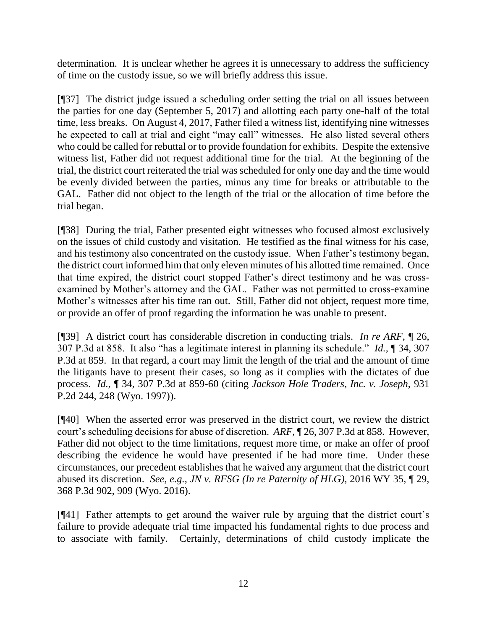determination. It is unclear whether he agrees it is unnecessary to address the sufficiency of time on the custody issue, so we will briefly address this issue.

[¶37] The district judge issued a scheduling order setting the trial on all issues between the parties for one day (September 5, 2017) and allotting each party one-half of the total time, less breaks. On August 4, 2017, Father filed a witness list, identifying nine witnesses he expected to call at trial and eight "may call" witnesses. He also listed several others who could be called for rebuttal or to provide foundation for exhibits. Despite the extensive witness list, Father did not request additional time for the trial. At the beginning of the trial, the district court reiterated the trial was scheduled for only one day and the time would be evenly divided between the parties, minus any time for breaks or attributable to the GAL. Father did not object to the length of the trial or the allocation of time before the trial began.

[¶38] During the trial, Father presented eight witnesses who focused almost exclusively on the issues of child custody and visitation. He testified as the final witness for his case, and his testimony also concentrated on the custody issue. When Father's testimony began, the district court informed him that only eleven minutes of his allotted time remained. Once that time expired, the district court stopped Father's direct testimony and he was crossexamined by Mother's attorney and the GAL. Father was not permitted to cross-examine Mother's witnesses after his time ran out. Still, Father did not object, request more time, or provide an offer of proof regarding the information he was unable to present.

[¶39] A district court has considerable discretion in conducting trials. *In re ARF,* ¶ 26, 307 P.3d at 858. It also "has a legitimate interest in planning its schedule." *Id.,* ¶ 34, 307 P.3d at 859. In that regard, a court may limit the length of the trial and the amount of time the litigants have to present their cases, so long as it complies with the dictates of due process. *Id.*, ¶ 34, 307 P.3d at 859-60 (citing *[Jackson Hole Traders, Inc. v. Joseph,](http://www.westlaw.com/Link/Document/FullText?findType=Y&serNum=1997040138&pubNum=0000661&originatingDoc=I43f5b7cb049211e3981fa20c4f198a69&refType=RP&fi=co_pp_sp_661_248&originationContext=document&vr=3.0&rs=cblt1.0&transitionType=DocumentItem&contextData=(sc.UserEnteredCitation)#co_pp_sp_661_248)* 931 [P.2d 244, 248 \(Wyo. 1997\)\)](http://www.westlaw.com/Link/Document/FullText?findType=Y&serNum=1997040138&pubNum=0000661&originatingDoc=I43f5b7cb049211e3981fa20c4f198a69&refType=RP&fi=co_pp_sp_661_248&originationContext=document&vr=3.0&rs=cblt1.0&transitionType=DocumentItem&contextData=(sc.UserEnteredCitation)#co_pp_sp_661_248).

[¶40] When the asserted error was preserved in the district court, we review the district court's scheduling decisions for abuse of discretion. *ARF,* ¶ 26, 307 P.3d at 858. However, Father did not object to the time limitations, request more time, or make an offer of proof describing the evidence he would have presented if he had more time. Under these circumstances, our precedent establishes that he waived any argument that the district court abused its discretion. *See, e.g.*, *JN v. RFSG (In re Paternity of HLG),* 2016 WY 35, ¶ 29, 368 P.3d 902, 909 (Wyo. 2016).

[¶41] Father attempts to get around the waiver rule by arguing that the district court's failure to provide adequate trial time impacted his fundamental rights to due process and to associate with family. Certainly, determinations of child custody implicate the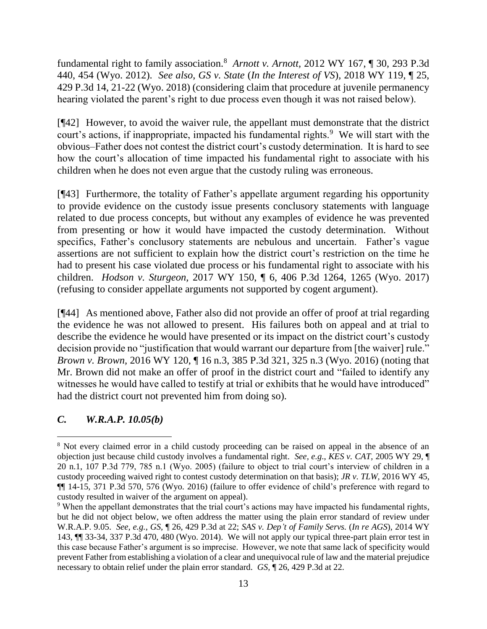fundamental right to family association.<sup>8</sup> *Arnott v. Arnott,* 2012 WY 167, ¶ 30, 293 P.3d 440, 454 (Wyo. 2012). *See also*, *GS v. State* (*In the Interest of VS*)*,* 2018 WY 119, ¶ 25, 429 P.3d 14, 21-22 (Wyo. 2018) (considering claim that procedure at juvenile permanency hearing violated the parent's right to due process even though it was not raised below).

[¶42] However, to avoid the waiver rule, the appellant must demonstrate that the district court's actions, if inappropriate, impacted his fundamental rights.<sup>9</sup> We will start with the obvious–Father does not contest the district court's custody determination. It is hard to see how the court's allocation of time impacted his fundamental right to associate with his children when he does not even argue that the custody ruling was erroneous.

[¶43] Furthermore, the totality of Father's appellate argument regarding his opportunity to provide evidence on the custody issue presents conclusory statements with language related to due process concepts, but without any examples of evidence he was prevented from presenting or how it would have impacted the custody determination. Without specifics, Father's conclusory statements are nebulous and uncertain. Father's vague assertions are not sufficient to explain how the district court's restriction on the time he had to present his case violated due process or his fundamental right to associate with his children. *Hodson v. Sturgeon,* 2017 WY 150, ¶ 6, 406 P.3d 1264, 1265 (Wyo. 2017) (refusing to consider appellate arguments not supported by cogent argument).

[¶44] As mentioned above, Father also did not provide an offer of proof at trial regarding the evidence he was not allowed to present. His failures both on appeal and at trial to describe the evidence he would have presented or its impact on the district court's custody decision provide no "justification that would warrant our departure from [the waiver] rule." *Brown v. Brown,* 2016 WY 120, ¶ 16 n.3, 385 P.3d 321, 325 n.3 (Wyo. 2016) (noting that Mr. Brown did not make an offer of proof in the district court and "failed to identify any witnesses he would have called to testify at trial or exhibits that he would have introduced" had the district court not prevented him from doing so).

# *C. W.R.A.P. 10.05(b)*

l

<sup>&</sup>lt;sup>8</sup> Not every claimed error in a child custody proceeding can be raised on appeal in the absence of an objection just because child custody involves a fundamental right. *See, e.g*., *KES v. CAT,* 2005 WY 29, ¶ 20 n.1, 107 P.3d 779, 785 n.1 (Wyo. 2005) (failure to object to trial court's interview of children in a custody proceeding waived right to contest custody determination on that basis); *JR v. TLW,* 2016 WY 45, ¶¶ 14-15, 371 P.3d 570, 576 (Wyo. 2016) (failure to offer evidence of child's preference with regard to custody resulted in waiver of the argument on appeal).

<sup>&</sup>lt;sup>9</sup> When the appellant demonstrates that the trial court's actions may have impacted his fundamental rights, but he did not object below, we often address the matter using the plain error standard of review under W.R.A.P. 9.05. *See, e.g.*, *GS,* ¶ 26, 429 P.3d at 22; *SAS v. Dep't of Family Servs.* (*In re AGS*)*,* 2014 WY 143, ¶¶ 33-34, 337 P.3d 470, 480 (Wyo. 2014). We will not apply our typical three-part plain error test in this case because Father's argument is so imprecise. However, we note that same lack of specificity would prevent Father from establishing a violation of a clear and unequivocal rule of law and the material prejudice necessary to obtain relief under the plain error standard. *GS,* ¶ 26, 429 P.3d at 22.